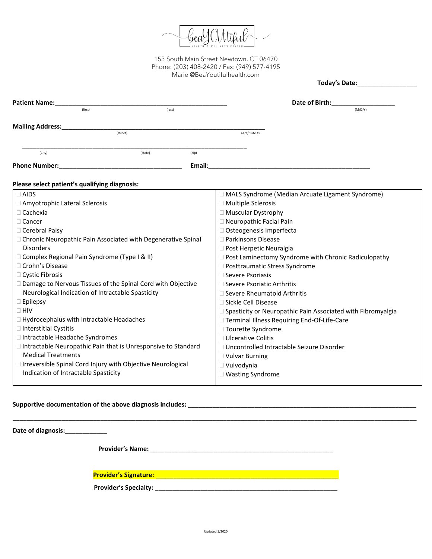

|                                                                 |          |        | Today's Date:                                                 |  |  |
|-----------------------------------------------------------------|----------|--------|---------------------------------------------------------------|--|--|
|                                                                 |          |        | Date of Birth:                                                |  |  |
| <b>Patient Name:</b><br>(first)                                 | (last)   |        | (M/D/Y)                                                       |  |  |
|                                                                 |          |        |                                                               |  |  |
| <b>Mailing Address:</b>                                         | (street) |        | (Apt/Suite #)                                                 |  |  |
|                                                                 |          |        |                                                               |  |  |
| (City)                                                          | (State)  | (Zip)  |                                                               |  |  |
| <b>Phone Number:</b>                                            |          | Email: |                                                               |  |  |
|                                                                 |          |        |                                                               |  |  |
| Please select patient's qualifying diagnosis:                   |          |        |                                                               |  |  |
| $\Box$ AIDS                                                     |          |        | □ MALS Syndrome (Median Arcuate Ligament Syndrome)            |  |  |
| Amyotrophic Lateral Sclerosis                                   |          |        | □ Multiple Sclerosis                                          |  |  |
| $\Box$ Cachexia                                                 |          |        | □ Muscular Dystrophy                                          |  |  |
| $\Box$ Cancer                                                   |          |        | □ Neuropathic Facial Pain                                     |  |  |
| $\Box$ Cerebral Palsy                                           |          |        | □ Osteogenesis Imperfecta                                     |  |  |
| □ Chronic Neuropathic Pain Associated with Degenerative Spinal  |          |        | □ Parkinsons Disease                                          |  |  |
| <b>Disorders</b>                                                |          |        | $\Box$ Post Herpetic Neuralgia                                |  |  |
| □ Complex Regional Pain Syndrome (Type I & II)                  |          |        | □ Post Laminectomy Syndrome with Chronic Radiculopathy        |  |  |
| □ Crohn's Disease                                               |          |        | □ Posttraumatic Stress Syndrome                               |  |  |
| □ Cystic Fibrosis                                               |          |        | □ Severe Psoriasis                                            |  |  |
| □ Damage to Nervous Tissues of the Spinal Cord with Objective   |          |        | □ Severe Psoriatic Arthritis                                  |  |  |
| Neurological Indication of Intractable Spasticity               |          |        | $\Box$ Severe Rheumatoid Arthritis                            |  |  |
| $\square$ Epilepsy                                              |          |        | □ Sickle Cell Disease                                         |  |  |
| $\Box$ HIV                                                      |          |        | □ Spasticity or Neuropathic Pain Associated with Fibromyalgia |  |  |
| $\Box$ Hydrocephalus with Intractable Headaches                 |          |        | □ Terminal Illness Requiring End-Of-Life-Care                 |  |  |
| $\Box$ Interstitial Cystitis                                    |          |        | □ Tourette Syndrome                                           |  |  |
| □ Intractable Headache Syndromes                                |          |        | $\Box$ Ulcerative Colitis                                     |  |  |
| □ Intractable Neuropathic Pain that is Unresponsive to Standard |          |        | □ Uncontrolled Intractable Seizure Disorder                   |  |  |
| <b>Medical Treatments</b>                                       |          |        | □ Vulvar Burning                                              |  |  |
| □ Irreversible Spinal Cord Injury with Objective Neurological   |          |        | □ Vulvodynia                                                  |  |  |
| Indication of Intractable Spasticity                            |          |        | □ Wasting Syndrome                                            |  |  |
|                                                                 |          |        |                                                               |  |  |

# **Supportive documentation of the above diagnosis includes:** \_\_\_\_\_\_\_\_\_\_\_\_\_\_\_\_\_\_\_\_\_\_\_\_\_\_\_\_\_\_\_\_\_\_\_\_\_\_\_\_\_\_\_\_\_\_\_\_\_\_\_\_\_\_\_\_\_\_\_\_\_\_\_\_\_

| Date of diagnosis:_____________ |  |
|---------------------------------|--|
|                                 |  |
|                                 |  |
|                                 |  |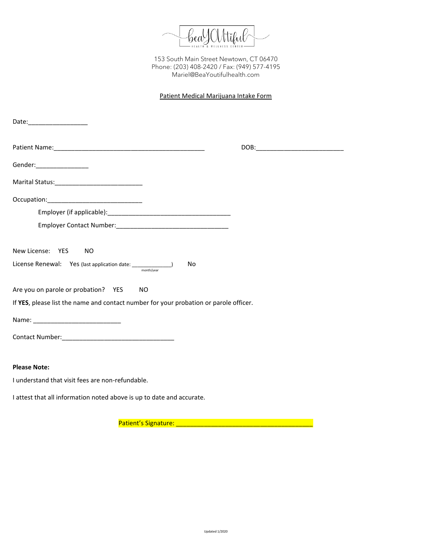

## Patient Medical Marijuana Intake Form

| Date:___________________                                                              |                                    |  |
|---------------------------------------------------------------------------------------|------------------------------------|--|
|                                                                                       | DOB:______________________________ |  |
| Gender:_________________                                                              |                                    |  |
|                                                                                       |                                    |  |
|                                                                                       |                                    |  |
|                                                                                       |                                    |  |
|                                                                                       |                                    |  |
| New License: YES NO                                                                   |                                    |  |
|                                                                                       | No                                 |  |
| Are you on parole or probation? YES NO                                                |                                    |  |
| If YES, please list the name and contact number for your probation or parole officer. |                                    |  |
|                                                                                       |                                    |  |
|                                                                                       |                                    |  |
|                                                                                       |                                    |  |
| <b>Please Note:</b>                                                                   |                                    |  |
| I understand that visit fees are non-refundable.                                      |                                    |  |
| I attest that all information noted above is up to date and accurate.                 |                                    |  |

Patient's Signature: \_\_\_\_\_\_\_\_\_\_\_\_\_\_\_\_\_\_\_\_\_\_\_\_\_\_\_\_\_\_\_\_\_\_\_\_\_\_\_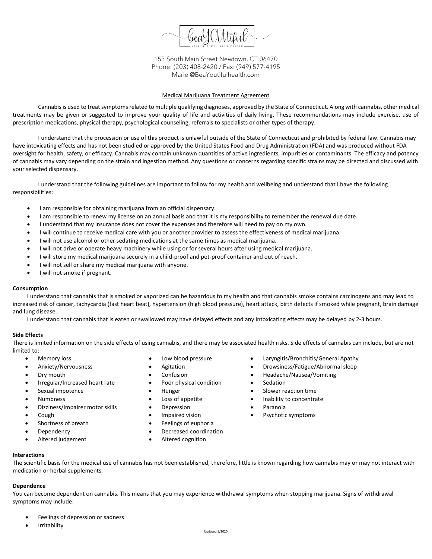

#### Medical Marijuana Treatment Agreement

Cannabisis used to treat symptoms related to multiple qualifying diagnoses, approved by the State of Connecticut. Along with cannabis, other medical treatments may be given or suggested to improve your quality of life and activities of daily living. These recommendations may include exercise, use of prescription medications, physical therapy, psychological counseling, referrals to specialists or other types of therapy.

I understand that the procession or use of this product is unlawful outside of the State of Connecticut and prohibited by federal law. Cannabis may have intoxicating effects and has not been studied or approved by the United States Food and Drug Administration (FDA) and was produced without FDA oversight for health, safety, or efficacy. Cannabis may contain unknown quantities of active ingredients, impurities or contaminants. The efficacy and potency of cannabis may vary depending on the strain and ingestion method. Any questions or concerns regarding specific strains may be directed and discussed with your selected dispensary.

I understand that the following guidelines are important to follow for my health and wellbeing and understand that I have the following responsibilities:

- I am responsible for obtaining marijuana from an official dispensary.
- I am responsible to renew my license on an annual basis and that it is my responsibility to remember the renewal due date.
- I understand that my insurance does not cover the expenses and therefore will need to pay on my own.
- I will continue to receive medical care with you or another provider to assess the effectiveness of medical marijuana.
- I will not use alcohol or other sedating medications at the same times as medical marijuana.
- I will not drive or operate heavy machinery while using or for several hours after using medical marijuana.
- I will store my medical marijuana securely in a child-proof and pet-proof container and out of reach.
- I will not sell or share my medical marijuana with anyone.
- I will not smoke if pregnant.

#### **Consumption**

I understand that cannabis that is smoked or vaporized can be hazardous to my health and that cannabis smoke contains carcinogens and may lead to increased risk of cancer, tachycardia (fast heart beat), hypertension (high blood pressure), heart attack, birth defects if smoked while pregnant, brain damage and lung disease.

I understand that cannabis that is eaten or swallowed may have delayed effects and any intoxicating effects may be delayed by 2-3 hours.

#### **Side Effects**

There is limited information on the side effects of using cannabis, and there may be associated health risks. Side effects of cannabis can include, but are not limited to:

- Memory loss
- Anxiety/Nervousness
- Drv mouth
- Irregular/Increased heart rate
- Sexual impotence
- Numbness
- Dizziness/Impairer motor skills
- Cough
- Shortness of breath
- **Dependency**
- Altered judgement
- Low blood pressure
- **Agitation**
- Confusion
- Poor physical condition
- Hunger
- Loss of appetite
- Depression
- Impaired vision
- Feelings of euphoria
- Decreased coordination
- Altered cognition

**Interactions**

The scientific basis for the medical use of cannabis has not been established, therefore, little is known regarding how cannabis may or may not interact with medication or herbal supplements.

#### **Dependence**

You can become dependent on cannabis. This means that you may experience withdrawal symptoms when stopping marijuana. Signs of withdrawal symptoms may include:

- Feelings of depression or sadness
- **Irritability**
- Laryngitis/Bronchitis/General Apathy
- Drowsiness/Fatigue/Abnormal sleep
- Headache/Nausea/Vomiting
- Sedation
- Slower reaction time
- Inability to concentrate
- Paranoia
- Psychotic symptoms
-